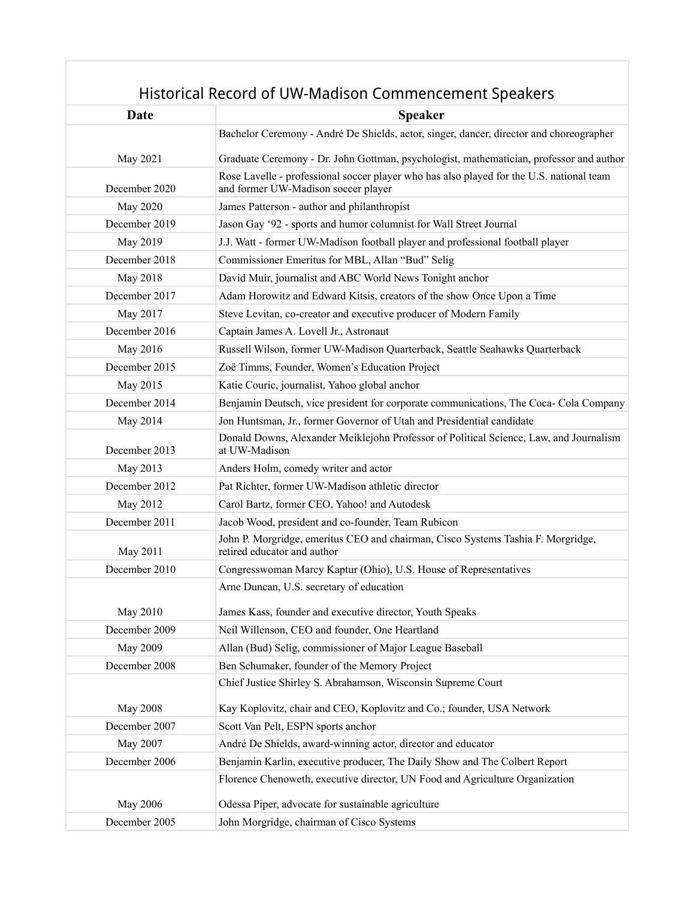## Historical Record of UW-Madison Commencement Speakers

| Date          | <b>Speaker</b>                                                                                                                  |
|---------------|---------------------------------------------------------------------------------------------------------------------------------|
|               | Bachelor Ceremony - André De Shields, actor, singer, dancer, director and choreographer                                         |
| May 2021      | Graduate Ceremony - Dr. John Gottman, psychologist, mathematician, professor and author                                         |
| December 2020 | Rose Lavelle - professional soccer player who has also played for the U.S. national team<br>and former UW-Madison soccer player |
| May 2020      | James Patterson - author and philanthropist                                                                                     |
| December 2019 | Jason Gay '92 - sports and humor columnist for Wall Street Journal                                                              |
| May 2019      | J.J. Watt - former UW-Madison football player and professional football player                                                  |
| December 2018 | Commissioner Emeritus for MBL, Allan "Bud" Selig                                                                                |
| May 2018      | David Muir, journalist and ABC World News Tonight anchor                                                                        |
| December 2017 | Adam Horowitz and Edward Kitsis, creators of the show Once Upon a Time                                                          |
| May 2017      | Steve Levitan, co-creator and executive producer of Modern Family                                                               |
| December 2016 | Captain James A. Lovell Jr., Astronaut                                                                                          |
| May 2016      | Russell Wilson, former UW-Madison Quarterback, Seattle Seahawks Quarterback                                                     |
| December 2015 | Zoë Timms, Founder, Women's Education Project                                                                                   |
| May 2015      | Katie Couric, journalist, Yahoo global anchor                                                                                   |
| December 2014 | Benjamin Deutsch, vice president for corporate communications, The Coca- Cola Company                                           |
| May 2014      | Jon Huntsman, Jr., former Governor of Utah and Presidential candidate                                                           |
| December 2013 | Donald Downs, Alexander Meiklejohn Professor of Political Science, Law, and Journalism<br>at UW-Madison                         |
| May 2013      | Anders Holm, comedy writer and actor                                                                                            |
| December 2012 | Pat Richter, former UW-Madison athletic director                                                                                |
| May 2012      | Carol Bartz, former CEO, Yahoo! and Autodesk                                                                                    |
| December 2011 | Jacob Wood, president and co-founder, Team Rubicon                                                                              |
| May 2011      | John P. Morgridge, emeritus CEO and chairman, Cisco Systems Tashia F. Morgridge,<br>retired educator and author                 |
| December 2010 | Congresswoman Marcy Kaptur (Ohio), U.S. House of Representatives                                                                |
|               | Arne Duncan, U.S. secretary of education                                                                                        |
| May 2010      | James Kass, founder and executive director, Youth Speaks                                                                        |
| December 2009 | Neil Willenson, CEO and founder, One Heartland                                                                                  |
| May 2009      | Allan (Bud) Selig, commissioner of Major League Baseball                                                                        |
| December 2008 | Ben Schumaker, founder of the Memory Project                                                                                    |
|               | Chief Justice Shirley S. Abrahamson, Wisconsin Supreme Court                                                                    |
| May 2008      | Kay Koplovitz, chair and CEO, Koplovitz and Co.; founder, USA Network                                                           |
| December 2007 | Scott Van Pelt, ESPN sports anchor                                                                                              |
| May 2007      | André De Shields, award-winning actor, director and educator                                                                    |
| December 2006 | Benjamin Karlin, executive producer, The Daily Show and The Colbert Report                                                      |
|               | Florence Chenoweth, executive director, UN Food and Agriculture Organization                                                    |
| May 2006      | Odessa Piper, advocate for sustainable agriculture                                                                              |
| December 2005 | John Morgridge, chairman of Cisco Systems                                                                                       |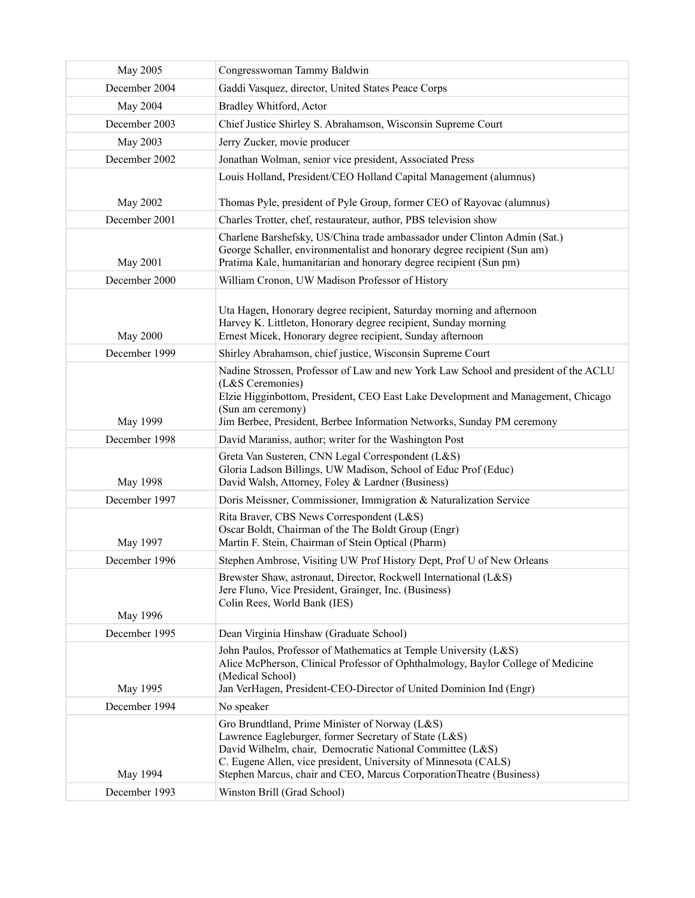| May 2005        | Congresswoman Tammy Baldwin                                                                                                                                                                                                                                                                                    |
|-----------------|----------------------------------------------------------------------------------------------------------------------------------------------------------------------------------------------------------------------------------------------------------------------------------------------------------------|
| December 2004   | Gaddi Vasquez, director, United States Peace Corps                                                                                                                                                                                                                                                             |
| May 2004        | Bradley Whitford, Actor                                                                                                                                                                                                                                                                                        |
| December 2003   | Chief Justice Shirley S. Abrahamson, Wisconsin Supreme Court                                                                                                                                                                                                                                                   |
| May 2003        | Jerry Zucker, movie producer                                                                                                                                                                                                                                                                                   |
| December 2002   | Jonathan Wolman, senior vice president, Associated Press                                                                                                                                                                                                                                                       |
|                 | Louis Holland, President/CEO Holland Capital Management (alumnus)                                                                                                                                                                                                                                              |
| May 2002        | Thomas Pyle, president of Pyle Group, former CEO of Rayovac (alumnus)                                                                                                                                                                                                                                          |
| December 2001   | Charles Trotter, chef, restaurateur, author, PBS television show                                                                                                                                                                                                                                               |
| May 2001        | Charlene Barshefsky, US/China trade ambassador under Clinton Admin (Sat.)<br>George Schaller, environmentalist and honorary degree recipient (Sun am)<br>Pratima Kale, humanitarian and honorary degree recipient (Sun pm)                                                                                     |
| December 2000   | William Cronon, UW Madison Professor of History                                                                                                                                                                                                                                                                |
| <b>May 2000</b> | Uta Hagen, Honorary degree recipient, Saturday morning and afternoon<br>Harvey K. Littleton, Honorary degree recipient, Sunday morning<br>Ernest Micek, Honorary degree recipient, Sunday afternoon                                                                                                            |
| December 1999   | Shirley Abrahamson, chief justice, Wisconsin Supreme Court                                                                                                                                                                                                                                                     |
| May 1999        | Nadine Strossen, Professor of Law and new York Law School and president of the ACLU<br>(L&S Ceremonies)<br>Elzie Higginbottom, President, CEO East Lake Development and Management, Chicago<br>(Sun am ceremony)<br>Jim Berbee, President, Berbee Information Networks, Sunday PM ceremony                     |
| December 1998   | David Maraniss, author; writer for the Washington Post                                                                                                                                                                                                                                                         |
| May 1998        | Greta Van Susteren, CNN Legal Correspondent (L&S)<br>Gloria Ladson Billings, UW Madison, School of Educ Prof (Educ)<br>David Walsh, Attorney, Foley & Lardner (Business)                                                                                                                                       |
| December 1997   | Doris Meissner, Commissioner, Immigration & Naturalization Service                                                                                                                                                                                                                                             |
| May 1997        | Rita Braver, CBS News Correspondent (L&S)<br>Oscar Boldt, Chairman of the The Boldt Group (Engr)<br>Martin F. Stein, Chairman of Stein Optical (Pharm)                                                                                                                                                         |
| December 1996   | Stephen Ambrose, Visiting UW Prof History Dept, Prof U of New Orleans                                                                                                                                                                                                                                          |
| May 1996        | Brewster Shaw, astronaut, Director, Rockwell International (L&S)<br>Jere Fluno, Vice President, Grainger, Inc. (Business)<br>Colin Rees, World Bank (IES)                                                                                                                                                      |
| December 1995   | Dean Virginia Hinshaw (Graduate School)                                                                                                                                                                                                                                                                        |
| May 1995        | John Paulos, Professor of Mathematics at Temple University (L&S)<br>Alice McPherson, Clinical Professor of Ophthalmology, Baylor College of Medicine<br>(Medical School)<br>Jan VerHagen, President-CEO-Director of United Dominion Ind (Engr)                                                                 |
| December 1994   | No speaker                                                                                                                                                                                                                                                                                                     |
| May 1994        | Gro Brundtland, Prime Minister of Norway (L&S)<br>Lawrence Eagleburger, former Secretary of State (L&S)<br>David Wilhelm, chair, Democratic National Committee (L&S)<br>C. Eugene Allen, vice president, University of Minnesota (CALS)<br>Stephen Marcus, chair and CEO, Marcus CorporationTheatre (Business) |
| December 1993   | Winston Brill (Grad School)                                                                                                                                                                                                                                                                                    |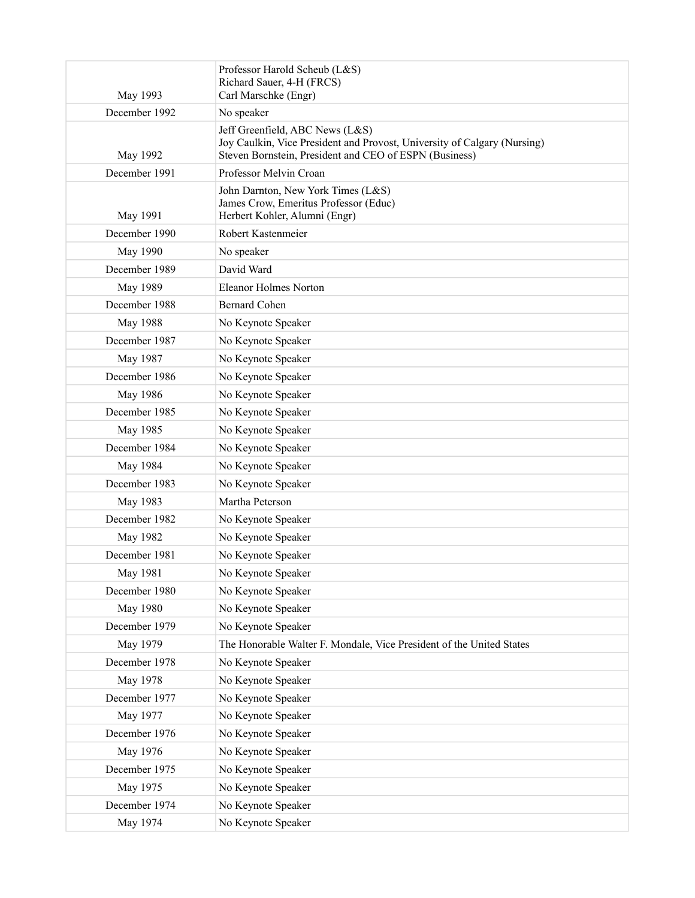| May 1993      | Professor Harold Scheub (L&S)<br>Richard Sauer, 4-H (FRCS)<br>Carl Marschke (Engr)                                                                                    |
|---------------|-----------------------------------------------------------------------------------------------------------------------------------------------------------------------|
| December 1992 | No speaker                                                                                                                                                            |
| May 1992      | Jeff Greenfield, ABC News (L&S)<br>Joy Caulkin, Vice President and Provost, University of Calgary (Nursing)<br>Steven Bornstein, President and CEO of ESPN (Business) |
| December 1991 | Professor Melvin Croan                                                                                                                                                |
| May 1991      | John Darnton, New York Times (L&S)<br>James Crow, Emeritus Professor (Educ)<br>Herbert Kohler, Alumni (Engr)                                                          |
| December 1990 | Robert Kastenmeier                                                                                                                                                    |
| May 1990      | No speaker                                                                                                                                                            |
| December 1989 | David Ward                                                                                                                                                            |
| May 1989      | Eleanor Holmes Norton                                                                                                                                                 |
| December 1988 | <b>Bernard Cohen</b>                                                                                                                                                  |
| May 1988      | No Keynote Speaker                                                                                                                                                    |
| December 1987 | No Keynote Speaker                                                                                                                                                    |
| May 1987      | No Keynote Speaker                                                                                                                                                    |
| December 1986 | No Keynote Speaker                                                                                                                                                    |
| May 1986      | No Keynote Speaker                                                                                                                                                    |
| December 1985 | No Keynote Speaker                                                                                                                                                    |
| May 1985      | No Keynote Speaker                                                                                                                                                    |
| December 1984 | No Keynote Speaker                                                                                                                                                    |
| May 1984      | No Keynote Speaker                                                                                                                                                    |
| December 1983 | No Keynote Speaker                                                                                                                                                    |
| May 1983      | Martha Peterson                                                                                                                                                       |
| December 1982 | No Keynote Speaker                                                                                                                                                    |
| May 1982      | No Keynote Speaker                                                                                                                                                    |
| December 1981 | No Keynote Speaker                                                                                                                                                    |
| May 1981      | No Keynote Speaker                                                                                                                                                    |
| December 1980 | No Keynote Speaker                                                                                                                                                    |
| May 1980      | No Keynote Speaker                                                                                                                                                    |
| December 1979 | No Keynote Speaker                                                                                                                                                    |
| May 1979      | The Honorable Walter F. Mondale, Vice President of the United States                                                                                                  |
| December 1978 | No Keynote Speaker                                                                                                                                                    |
| May 1978      | No Keynote Speaker                                                                                                                                                    |
| December 1977 | No Keynote Speaker                                                                                                                                                    |
| May 1977      | No Keynote Speaker                                                                                                                                                    |
| December 1976 | No Keynote Speaker                                                                                                                                                    |
| May 1976      | No Keynote Speaker                                                                                                                                                    |
| December 1975 | No Keynote Speaker                                                                                                                                                    |
| May 1975      | No Keynote Speaker                                                                                                                                                    |
| December 1974 | No Keynote Speaker                                                                                                                                                    |
| May 1974      | No Keynote Speaker                                                                                                                                                    |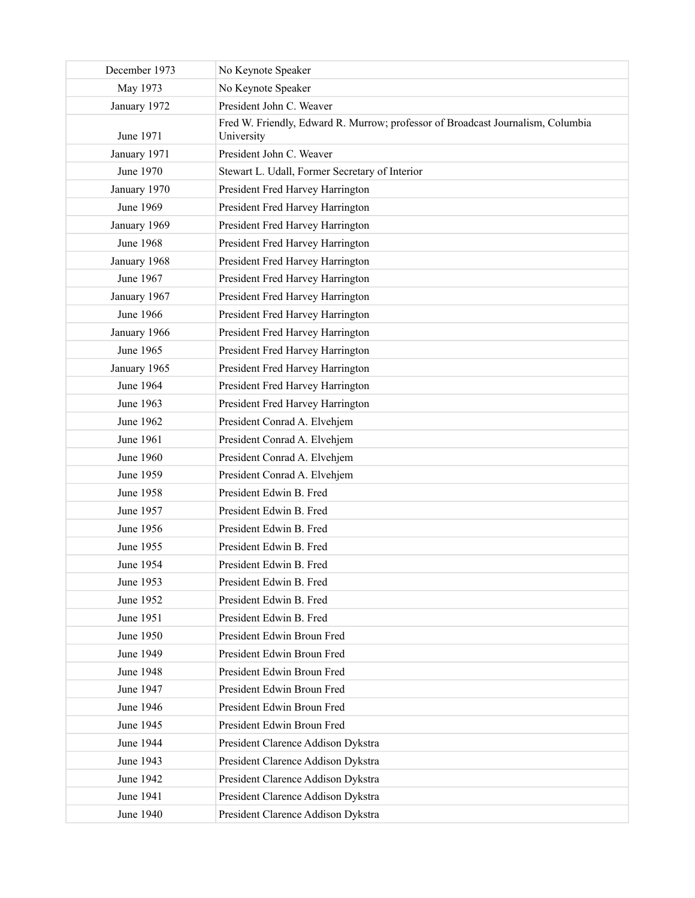| December 1973    | No Keynote Speaker                                                                            |
|------------------|-----------------------------------------------------------------------------------------------|
| May 1973         | No Keynote Speaker                                                                            |
| January 1972     | President John C. Weaver                                                                      |
| June 1971        | Fred W. Friendly, Edward R. Murrow; professor of Broadcast Journalism, Columbia<br>University |
| January 1971     | President John C. Weaver                                                                      |
| June 1970        | Stewart L. Udall, Former Secretary of Interior                                                |
| January 1970     | President Fred Harvey Harrington                                                              |
| June 1969        | President Fred Harvey Harrington                                                              |
| January 1969     | President Fred Harvey Harrington                                                              |
| <b>June 1968</b> | President Fred Harvey Harrington                                                              |
| January 1968     | President Fred Harvey Harrington                                                              |
| June 1967        | President Fred Harvey Harrington                                                              |
| January 1967     | President Fred Harvey Harrington                                                              |
| June 1966        | President Fred Harvey Harrington                                                              |
| January 1966     | President Fred Harvey Harrington                                                              |
| June 1965        | President Fred Harvey Harrington                                                              |
| January 1965     | President Fred Harvey Harrington                                                              |
| June 1964        | President Fred Harvey Harrington                                                              |
| June 1963        | President Fred Harvey Harrington                                                              |
| June 1962        | President Conrad A. Elvehjem                                                                  |
| June 1961        | President Conrad A. Elvehjem                                                                  |
| June 1960        | President Conrad A. Elvehjem                                                                  |
| June 1959        | President Conrad A. Elvehjem                                                                  |
| June 1958        | President Edwin B. Fred                                                                       |
| June 1957        | President Edwin B. Fred                                                                       |
| June 1956        | President Edwin B. Fred                                                                       |
| June 1955        | President Edwin B. Fred                                                                       |
| June 1954        | President Edwin B. Fred                                                                       |
| June 1953        | President Edwin B. Fred                                                                       |
| June 1952        | President Edwin B. Fred                                                                       |
| June 1951        | President Edwin B. Fred                                                                       |
| June 1950        | President Edwin Broun Fred                                                                    |
| June 1949        | President Edwin Broun Fred                                                                    |
| <b>June 1948</b> | President Edwin Broun Fred                                                                    |
| June 1947        | President Edwin Broun Fred                                                                    |
| June 1946        | President Edwin Broun Fred                                                                    |
| June 1945        | President Edwin Broun Fred                                                                    |
| June 1944        | President Clarence Addison Dykstra                                                            |
| June 1943        | President Clarence Addison Dykstra                                                            |
| June 1942        | President Clarence Addison Dykstra                                                            |
| June 1941        | President Clarence Addison Dykstra                                                            |
| June 1940        | President Clarence Addison Dykstra                                                            |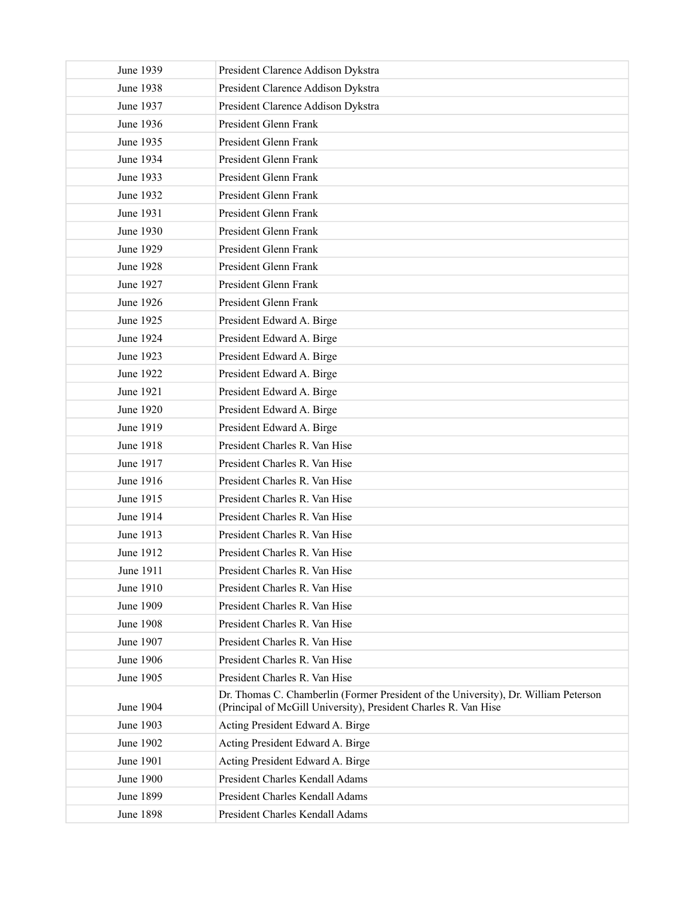| June 1939        | President Clarence Addison Dykstra                                                                                                                     |
|------------------|--------------------------------------------------------------------------------------------------------------------------------------------------------|
| June 1938        | President Clarence Addison Dykstra                                                                                                                     |
| June 1937        | President Clarence Addison Dykstra                                                                                                                     |
| June 1936        | President Glenn Frank                                                                                                                                  |
| June 1935        | President Glenn Frank                                                                                                                                  |
| June 1934        | President Glenn Frank                                                                                                                                  |
| June 1933        | President Glenn Frank                                                                                                                                  |
| June 1932        | President Glenn Frank                                                                                                                                  |
| June 1931        | President Glenn Frank                                                                                                                                  |
| June 1930        | President Glenn Frank                                                                                                                                  |
| June 1929        | President Glenn Frank                                                                                                                                  |
| <b>June 1928</b> | President Glenn Frank                                                                                                                                  |
| June 1927        | President Glenn Frank                                                                                                                                  |
| June 1926        | President Glenn Frank                                                                                                                                  |
| June 1925        | President Edward A. Birge                                                                                                                              |
| June 1924        | President Edward A. Birge                                                                                                                              |
| June 1923        | President Edward A. Birge                                                                                                                              |
| June 1922        | President Edward A. Birge                                                                                                                              |
| <b>June 1921</b> | President Edward A. Birge                                                                                                                              |
| June 1920        | President Edward A. Birge                                                                                                                              |
| June 1919        | President Edward A. Birge                                                                                                                              |
| <b>June 1918</b> | President Charles R. Van Hise                                                                                                                          |
| June 1917        | President Charles R. Van Hise                                                                                                                          |
| June 1916        | President Charles R. Van Hise                                                                                                                          |
| June 1915        | President Charles R. Van Hise                                                                                                                          |
| June 1914        | President Charles R. Van Hise                                                                                                                          |
| June 1913        | President Charles R. Van Hise                                                                                                                          |
| June 1912        | President Charles R. Van Hise                                                                                                                          |
| June 1911        | President Charles R. Van Hise                                                                                                                          |
| June 1910        | President Charles R. Van Hise                                                                                                                          |
| June 1909        | President Charles R. Van Hise                                                                                                                          |
| <b>June 1908</b> | President Charles R. Van Hise                                                                                                                          |
| June 1907        | President Charles R. Van Hise                                                                                                                          |
| June 1906        | President Charles R. Van Hise                                                                                                                          |
| June 1905        | President Charles R. Van Hise                                                                                                                          |
| June 1904        | Dr. Thomas C. Chamberlin (Former President of the University), Dr. William Peterson<br>(Principal of McGill University), President Charles R. Van Hise |
| June 1903        | Acting President Edward A. Birge                                                                                                                       |
| June 1902        | Acting President Edward A. Birge                                                                                                                       |
| June 1901        | Acting President Edward A. Birge                                                                                                                       |
| June 1900        | President Charles Kendall Adams                                                                                                                        |
| June 1899        | President Charles Kendall Adams                                                                                                                        |
| <b>June 1898</b> | President Charles Kendall Adams                                                                                                                        |